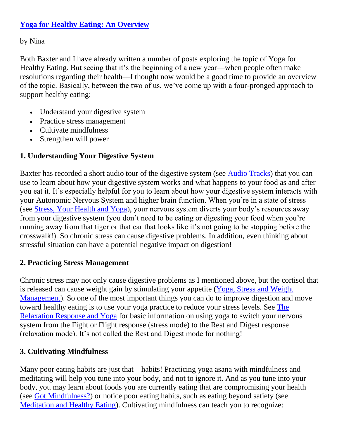### **[Yoga for Healthy Eating: An Overview](https://yogaforhealthyaging.blogspot.com/2014/01/yoga-for-healthy-eating-overview.html)**

by Nina

Both Baxter and I have already written a number of posts exploring the topic of Yoga for Healthy Eating. But seeing that it's the beginning of a new year—when people often make resolutions regarding their health—I thought now would be a good time to provide an overview of the topic. Basically, between the two of us, we've come up with a four-pronged approach to support healthy eating:

- Understand your digestive system
- Practice stress management
- Cultivate mindfulness
- Strengthen will power

# **1. Understanding Your Digestive System**

Baxter has recorded a short audio tour of the digestive system (see [Audio Tracks\)](http://yogaforhealthyaging.blogspot.com/p/audio-tracks.html) that you can use to learn about how your digestive system works and what happens to your food as and after you eat it. It's especially helpful for you to learn about how your digestive system interacts with your Autonomic Nervous System and higher brain function. When you're in a state of stress (see [Stress, Your Health and Yoga\)](http://yogaforhealthyaging.blogspot.com/2012/09/stress-your-health-and-yoga.html), your nervous system diverts your body's resources away from your digestive system (you don't need to be eating or digesting your food when you're running away from that tiger or that car that looks like it's not going to be stopping before the crosswalk!). So chronic stress can cause digestive problems. In addition, even thinking about stressful situation can have a potential negative impact on digestion!

## **2. Practicing Stress Management**

Chronic stress may not only cause digestive problems as I mentioned above, but the cortisol that is released can cause weight gain by stimulating your appetite [\(Yoga, Stress and Weight](http://yogaforhealthyaging.blogspot.com/2012/12/yoga-stress-and-weight-management.html)  [Management\)](http://yogaforhealthyaging.blogspot.com/2012/12/yoga-stress-and-weight-management.html). So one of the most important things you can do to improve digestion and move toward healthy eating is to use your yoga practice to reduce your stress levels. See [The](http://yogaforhealthyaging.blogspot.com/2011/10/relaxation-response-and-yoga.html)  [Relaxation Response and Yoga](http://yogaforhealthyaging.blogspot.com/2011/10/relaxation-response-and-yoga.html) for basic information on using yoga to switch your nervous system from the Fight or Flight response (stress mode) to the Rest and Digest response (relaxation mode). It's not called the Rest and Digest mode for nothing!

### **3. Cultivating Mindfulness**

Many poor eating habits are just that—habits! Practicing yoga asana with mindfulness and meditating will help you tune into your body, and not to ignore it. And as you tune into your body, you may learn about foods you are currently eating that are compromising your health (see [Got Mindfulness?\)](http://yogaforhealthyaging.blogspot.com/2012/07/got-mindfulness.html?q=healthy+eating) or notice poor eating habits, such as eating beyond satiety (see [Meditation and Healthy Eating\)](http://yogaforhealthyaging.blogspot.com/2012/09/meditation-and-healthy-eating.html?q=sleep). Cultivating mindfulness can teach you to recognize: